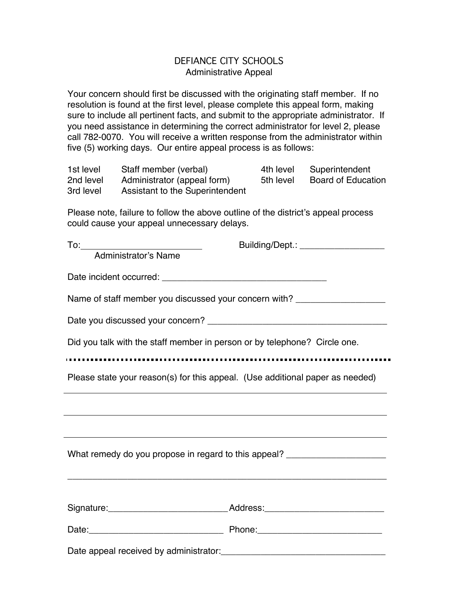## DEFIANCE CITY SCHOOLS Administrative Appeal

Your concern should first be discussed with the originating staff member. If no resolution is found at the first level, please complete this appeal form, making sure to include all pertinent facts, and submit to the appropriate administrator. If you need assistance in determining the correct administrator for level 2, please call 782-0070. You will receive a written response from the administrator within five (5) working days. Our entire appeal process is as follows:

| 1st level | Staff member (verbal)           | 4th level | Superintendent            |
|-----------|---------------------------------|-----------|---------------------------|
| 2nd level | Administrator (appeal form)     | 5th level | <b>Board of Education</b> |
| 3rd level | Assistant to the Superintendent |           |                           |

Please note, failure to follow the above outline of the district's appeal process could cause your appeal unnecessary delays.

| To: Administrator's Name                                                                                                                                                                                                       | Building/Dept.: ____________________ |  |  |  |  |
|--------------------------------------------------------------------------------------------------------------------------------------------------------------------------------------------------------------------------------|--------------------------------------|--|--|--|--|
|                                                                                                                                                                                                                                |                                      |  |  |  |  |
| Name of staff member you discussed your concern with?                                                                                                                                                                          |                                      |  |  |  |  |
|                                                                                                                                                                                                                                |                                      |  |  |  |  |
| Did you talk with the staff member in person or by telephone? Circle one.                                                                                                                                                      |                                      |  |  |  |  |
|                                                                                                                                                                                                                                |                                      |  |  |  |  |
| Please state your reason(s) for this appeal. (Use additional paper as needed)                                                                                                                                                  |                                      |  |  |  |  |
|                                                                                                                                                                                                                                |                                      |  |  |  |  |
|                                                                                                                                                                                                                                |                                      |  |  |  |  |
| What remedy do you propose in regard to this appeal? ___________________________                                                                                                                                               |                                      |  |  |  |  |
|                                                                                                                                                                                                                                |                                      |  |  |  |  |
|                                                                                                                                                                                                                                |                                      |  |  |  |  |
|                                                                                                                                                                                                                                |                                      |  |  |  |  |
| Date appeal received by administrator: Network and the state of the state of the state of the state of the state of the state of the state of the state of the state of the state of the state of the state of the state of th |                                      |  |  |  |  |